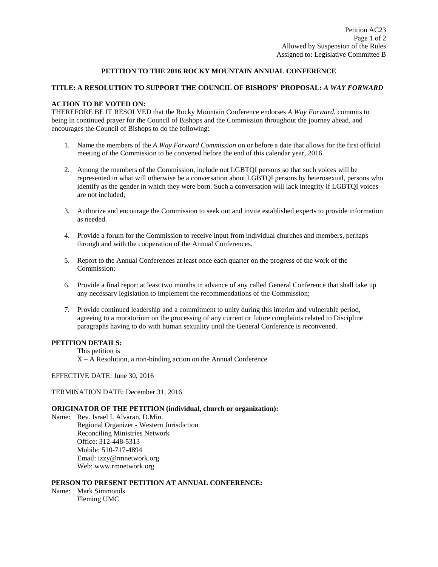## **PETITION TO THE 2016 ROCKY MOUNTAIN ANNUAL CONFERENCE**

## **TITLE: A RESOLUTION TO SUPPORT THE COUNCIL OF BISHOPS' PROPOSAL:** *A WAY FORWARD*

## **ACTION TO BE VOTED ON:**

THEREFORE BE IT RESOLVED that the Rocky Mountain Conference endorses *A Way Forward*, commits to being in continued prayer for the Council of Bishops and the Commission throughout the journey ahead, and encourages the Council of Bishops to do the following:

- 1. Name the members of the *A Way Forward Commission* on or before a date that allows for the first official meeting of the Commission to be convened before the end of this calendar year, 2016.
- 2. Among the members of the Commission, include out LGBTQI persons so that such voices will be represented in what will otherwise be a conversation about LGBTQI persons by heterosexual, persons who identify as the gender in which they were born. Such a conversation will lack integrity if LGBTQI voices are not included;
- 3. Authorize and encourage the Commission to seek out and invite established experts to provide information as needed.
- 4. Provide a forum for the Commission to receive input from individual churches and members, perhaps through and with the cooperation of the Annual Conferences.
- 5. Report to the Annual Conferences at least once each quarter on the progress of the work of the Commission;
- 6. Provide a final report at least two months in advance of any called General Conference that shall take up any necessary legislation to implement the recommendations of the Commission;
- 7. Provide continued leadership and a commitment to unity during this interim and vulnerable period, agreeing to a moratorium on the processing of any current or future complaints related to Discipline paragraphs having to do with human sexuality until the General Conference is reconvened.

#### **PETITION DETAILS:**

This petition is

X – A Resolution, a non-binding action on the Annual Conference

EFFECTIVE DATE: June 30, 2016

TERMINATION DATE: December 31, 2016

#### **ORIGINATOR OF THE PETITION (individual, church or organization):**

Name: Rev. Israel I. Alvaran, D.Min. Regional Organizer - Western Jurisdiction Reconciling Ministries Network Office: [312-448-5313](tel:312-448-5313) Mobile: [510-717-4894](tel:510-717-4894) Email: [izzy@rmnetwork.org](mailto:izzy@rmnetwork.org) Web: [www.rmnetwork.org](http://www.rmnetwork.org/)

# **PERSON TO PRESENT PETITION AT ANNUAL CONFERENCE:**

Name: Mark Simmonds Fleming UMC